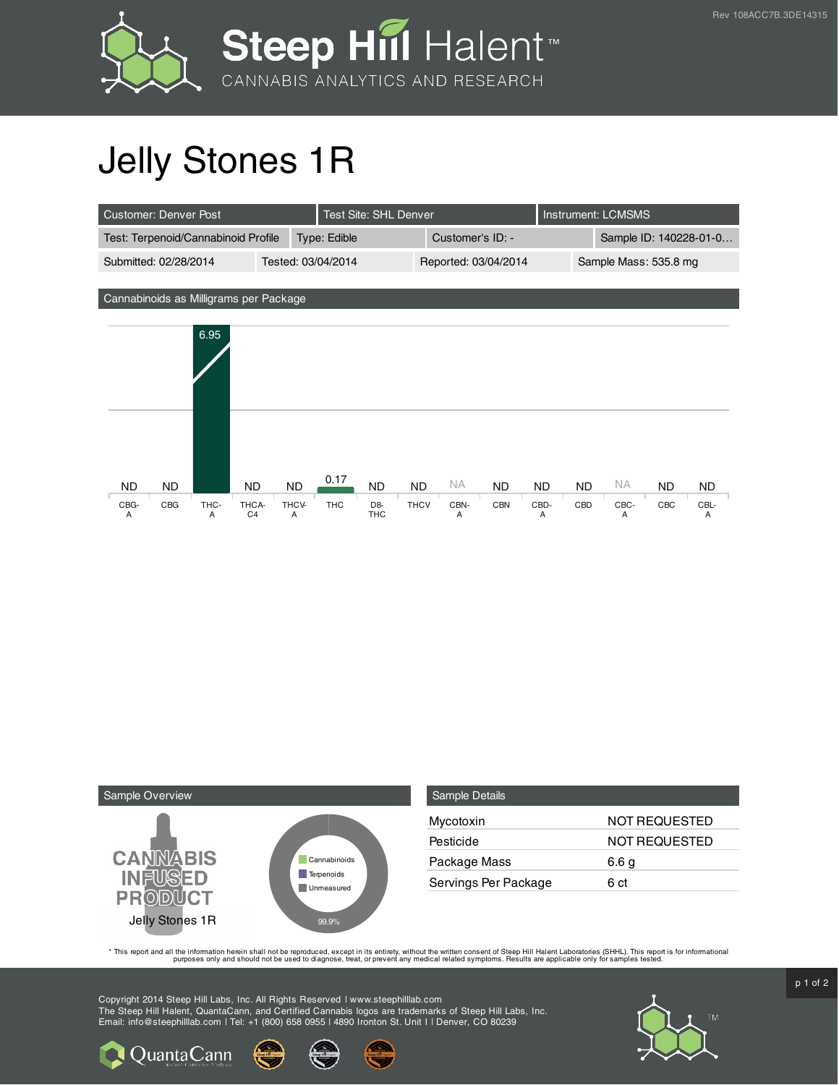

## Jelly Stones 1R

| Customer: Denver Post               |                    | Test Site: SHL Denver |                      | Instrument: LCMSMS |                        |
|-------------------------------------|--------------------|-----------------------|----------------------|--------------------|------------------------|
| Test: Terpenoid/Cannabinoid Profile |                    | Type: Edible          | Customer's ID: -     |                    | Sample ID: 140228-01-0 |
| Submitted: 02/28/2014               | Tested: 03/04/2014 |                       | Reported: 03/04/2014 |                    | Sample Mass: 535.8 mg  |







**Q** Quanta Cann

| <b>Sample Details</b> |                      |
|-----------------------|----------------------|
| Mycotoxin             | <b>NOT REQUESTED</b> |
| Pesticide             | <b>NOT REQUESTED</b> |
| Package Mass          | 6.6 g                |
| Servings Per Package  | 6 ct                 |

This report and all the information herein shall not be reporduced, except in its entirety, without the written consent of Steep Hill Halent Laboratories (SHHL). This report is for informational all the instance, treat, or

Copyright 2014 Steep Hill Labs, Inc. All Rights Reserved | www.steephilllab.com The Steep Hill Halent, QuantaCann, and Certified Cannabis logos are trademarks of Steep Hill Labs, Inc. Email: info@steephilllab.com | Tel: +1 (800) 658 0955 | 4890 Ironton St. Unit I | Denver, CO 80239



 $p$  1 of 2